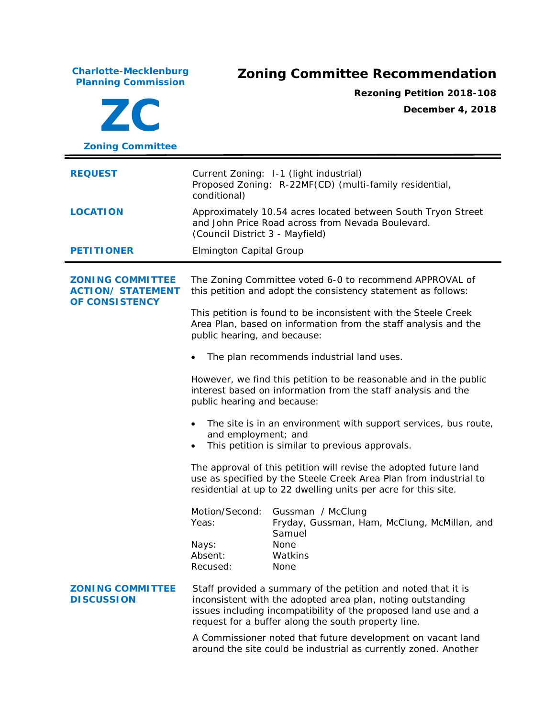**Charlotte-Mecklenburg Planning Commission Zoning Committee Recommendation ZC Zoning Committee Rezoning Petition 2018-108 December 4, 2018 REQUEST** Current Zoning: 1-1 (light industrial) Proposed Zoning: R-22MF(CD) (multi-family residential, conditional) **LOCATION** Approximately 10.54 acres located between South Tryon Street and John Price Road across from Nevada Boulevard. (Council District 3 - Mayfield) **PETITIONER** Elmington Capital Group **ZONING COMMITTEE ACTION/ STATEMENT OF CONSISTENCY** The Zoning Committee voted 6-0 to recommend APPROVAL of this petition and adopt the consistency statement as follows: This petition is found to be inconsistent with the *Steele Creek Area Plan*, based on information from the staff analysis and the public hearing, and because: • The plan recommends industrial land uses. However, we find this petition to be reasonable and in the public interest based on information from the staff analysis and the public hearing and because: The site is in an environment with support services, bus route, and employment; and This petition is similar to previous approvals. The approval of this petition will revise the adopted future land use as specified by the *Steele Creek Area Plan* from industrial to residential at up to 22 dwelling units per acre for this site. Motion/Second: Gussman / McClung Yeas: Fryday, Gussman, Ham, McClung, McMillan, and Samuel Nays: None Absent: Watkins Recused: None **ZONING COMMITTEE DISCUSSION** Staff provided a summary of the petition and noted that it is inconsistent with the adopted area plan, noting outstanding issues including incompatibility of the proposed land use and a request for a buffer along the south property line. A Commissioner noted that future development on vacant land around the site could be industrial as currently zoned. Another